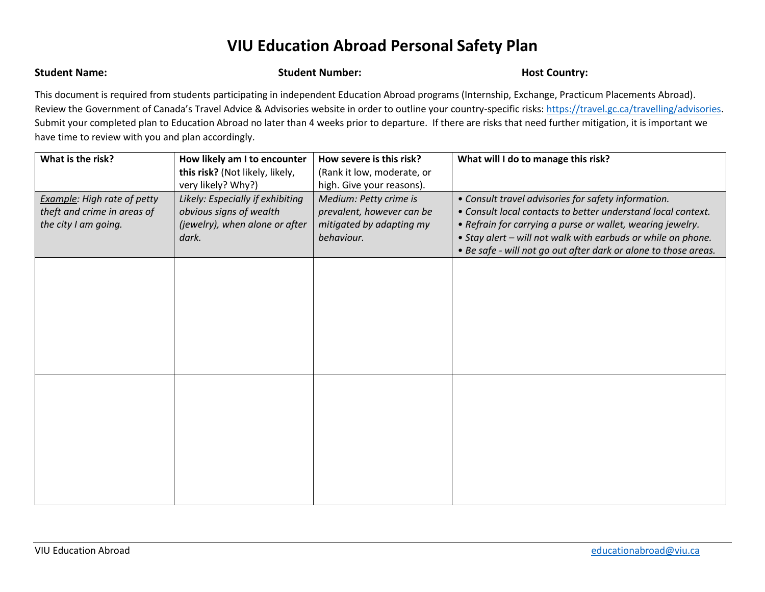## **VIU Education Abroad Personal Safety Plan**

**Student Name: Student Number: Host Country: Host Country:** 

This document is required from students participating in independent Education Abroad programs (Internship, Exchange, Practicum Placements Abroad). Review the Government of Canada's Travel Advice & Advisories website in order to outline your country-specific risks: [https://travel.gc.ca/travelling/advisories.](https://travel.gc.ca/travelling/advisories) Submit your completed plan to Education Abroad no later than 4 weeks prior to departure. If there are risks that need further mitigation, it is important we have time to review with you and plan accordingly.

| What is the risk?                                                                         | How likely am I to encounter<br>this risk? (Not likely, likely,                                                              | How severe is this risk?<br>(Rank it low, moderate, or                                                                     | What will I do to manage this risk?                                                                                                                                                                                                                                                                                  |
|-------------------------------------------------------------------------------------------|------------------------------------------------------------------------------------------------------------------------------|----------------------------------------------------------------------------------------------------------------------------|----------------------------------------------------------------------------------------------------------------------------------------------------------------------------------------------------------------------------------------------------------------------------------------------------------------------|
| <b>Example:</b> High rate of petty<br>theft and crime in areas of<br>the city I am going. | very likely? Why?)<br>Likely: Especially if exhibiting<br>obvious signs of wealth<br>(jewelry), when alone or after<br>dark. | high. Give your reasons).<br>Medium: Petty crime is<br>prevalent, however can be<br>mitigated by adapting my<br>behaviour. | • Consult travel advisories for safety information.<br>• Consult local contacts to better understand local context.<br>• Refrain for carrying a purse or wallet, wearing jewelry.<br>• Stay alert – will not walk with earbuds or while on phone.<br>• Be safe - will not go out after dark or alone to those areas. |
|                                                                                           |                                                                                                                              |                                                                                                                            |                                                                                                                                                                                                                                                                                                                      |
|                                                                                           |                                                                                                                              |                                                                                                                            |                                                                                                                                                                                                                                                                                                                      |
|                                                                                           |                                                                                                                              |                                                                                                                            |                                                                                                                                                                                                                                                                                                                      |
|                                                                                           |                                                                                                                              |                                                                                                                            |                                                                                                                                                                                                                                                                                                                      |